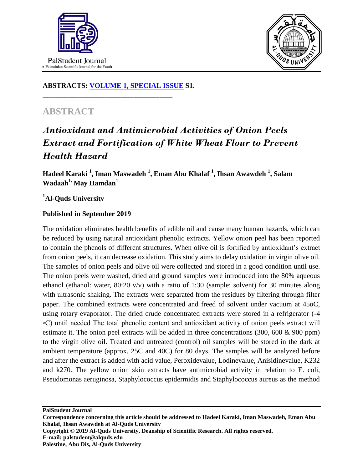



### **ABSTRACTS: [VOLUME 1, SPECIAL ISSUE](https://www.thelancet.com/journals/lancet/issue/vol393nonull/PIIS0140-6736(19)X0012-4) S1.**

**\_\_\_\_\_\_\_\_\_\_\_\_\_\_\_\_\_\_\_\_\_\_\_\_\_\_\_\_\_\_\_\_\_\_\_\_\_\_\_\_**

## **ABSTRACT**

# *Antioxidant and Antimicrobial Activities of Onion Peels Extract and Fortification of White Wheat Flour to Prevent Health Hazard*

**Hadeel Karaki <sup>1</sup> , Iman Maswadeh <sup>1</sup> , Eman Abu Khalaf <sup>1</sup> , Ihsan Awawdeh <sup>1</sup> , Salam Wadaah1, May Hamdan<sup>1</sup>**

### **<sup>1</sup>Al-Quds University**

#### **Published in September 2019**

The oxidation eliminates health benefits of edible oil and cause many human hazards, which can be reduced by using natural antioxidant phenolic extracts. Yellow onion peel has been reported to contain the phenols of different structures. When olive oil is fortified by antioxidant's extract from onion peels, it can decrease oxidation. This study aims to delay oxidation in virgin olive oil. The samples of onion peels and olive oil were collected and stored in a good condition until use. The onion peels were washed, dried and ground samples were introduced into the 80% aqueous ethanol (ethanol: water,  $80:20 \text{ v/v}$ ) with a ratio of 1:30 (sample: solvent) for 30 minutes along with ultrasonic shaking. The extracts were separated from the residues by filtering through filter paper. The combined extracts were concentrated and freed of solvent under vacuum at 45oC, using rotary evaporator. The dried crude concentrated extracts were stored in a refrigerator (-4 ◦C) until needed The total phenolic content and antioxidant activity of onion peels extract will estimate it. The onion peel extracts will be added in three concentrations (300, 600 & 900 ppm) to the virgin olive oil. Treated and untreated (control) oil samples will be stored in the dark at ambient temperature (approx. 25C and 40C) for 80 days. The samples will be analyzed before and after the extract is added with acid value, Peroxidevalue, Lodinevalue, Anisidinevalue, K232 and k270. The yellow onion skin extracts have antimicrobial activity in relation to E. coli, Pseudomonas aeruginosa, Staphylococcus epidermidis and Staphylococcus aureus as the method

**PalStudent Journal**

**Copyright © 2019 Al-Quds University, Deanship of Scientific Research. All rights reserved. E-mail: palstudent@alquds.edu Palestine, Abu Dis, Al-Quds University**

**Correspondence concerning this article should be addressed to Hadeel Karaki, Iman Maswadeh, Eman Abu Khalaf, Ihsan Awawdeh at Al-Quds University**